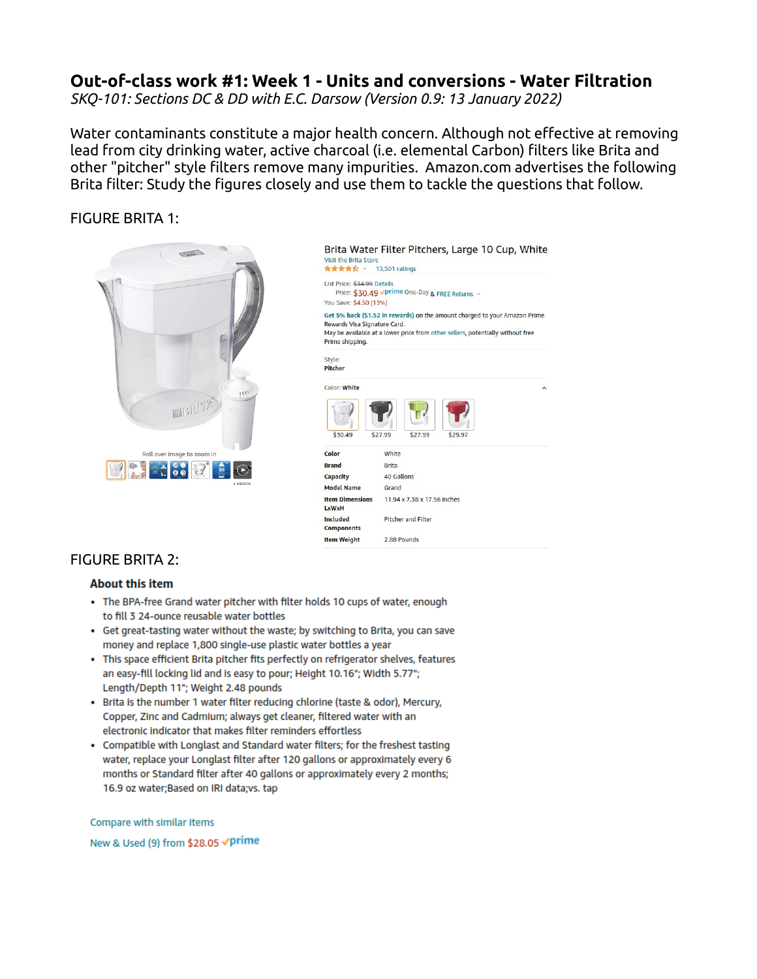# **Out-of-class work #1: Week 1 - Units and conversions - Water Filtration**

*SKQ-101: Sections DC & DD with E.C. Darsow (Version 0.9: 13 January 2022)*

Water contaminants constitute a major health concern. Although not effective at removing lead from city drinking water, active charcoal (i.e. elemental Carbon) filters like Brita and other "pitcher" style filters remove many impurities. Amazon.com advertises the following Brita filter: Study the figures closely and use them to tackle the questions that follow.

### FIGURE BRITA 1:



Brita Water Filter Pitchers, Large 10 Cup, White Visit the Brita Ston **食食食食 × 13,501 ratings** List Price: \$34.99 Details Price: \$30.49 vprime One-Day & FREE Returns v You Save: \$4.50 (13%) Get 5% back (\$1.52 in rewards) on the amount charged to your Amazon Prime Rewards Visa Signature Card. May be available at a lower price from other sellers, potentially without free Prime shipping. Style: Pitcher Color: White \$30.49 Color White **Brand Brita** Capacity 40 Gallons **Model Name** Grand **Item Dimensic** 11.94 x 7.38 x 17.56 inches LxWxH Included **Pitcher and Filter** Components **Item Weight** 2.88 Pounds

## FIGURE BRITA 2:

#### **About this item**

- The BPA-free Grand water pitcher with filter holds 10 cups of water, enough to fill 3 24-ounce reusable water bottles
- Get great-tasting water without the waste; by switching to Brita, you can save money and replace 1,800 single-use plastic water bottles a year
- . This space efficient Brita pitcher fits perfectly on refrigerator shelves, features an easy-fill locking lid and is easy to pour; Height 10.16"; Width 5.77"; Length/Depth 11"; Weight 2.48 pounds
- . Brita is the number 1 water filter reducing chlorine (taste & odor), Mercury, Copper, Zinc and Cadmium; always get cleaner, filtered water with an electronic indicator that makes filter reminders effortless
- Compatible with Longlast and Standard water filters; for the freshest tasting water, replace your Longlast filter after 120 gallons or approximately every 6 months or Standard filter after 40 gallons or approximately every 2 months; 16.9 oz water; Based on IRI data; vs. tap

Compare with similar items

New & Used (9) from \$28.05 √prime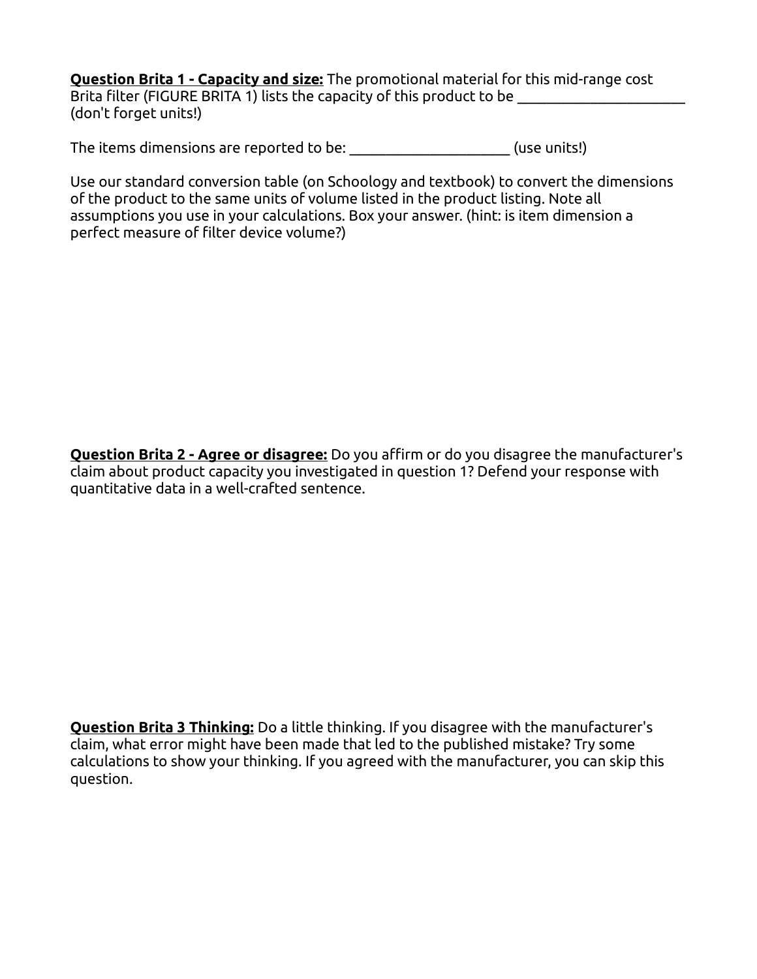**Question Brita 1 - Capacity and size:** The promotional material for this mid-range cost Brita filter (FIGURE BRITA 1) lists the capacity of this product to be (don't forget units!)

The items dimensions are reported to be: \_\_\_\_\_\_\_\_\_\_\_\_\_\_\_\_\_\_\_\_\_\_\_\_\_(use units!)

Use our standard conversion table (on Schoology and textbook) to convert the dimensions of the product to the same units of volume listed in the product listing. Note all assumptions you use in your calculations. Box your answer. (hint: is item dimension a perfect measure of filter device volume?)

**Question Brita 2 - Agree or disagree:** Do you affirm or do you disagree the manufacturer's claim about product capacity you investigated in question 1? Defend your response with quantitative data in a well-crafted sentence.

**Question Brita 3 Thinking:** Do a little thinking. If you disagree with the manufacturer's claim, what error might have been made that led to the published mistake? Try some calculations to show your thinking. If you agreed with the manufacturer, you can skip this question.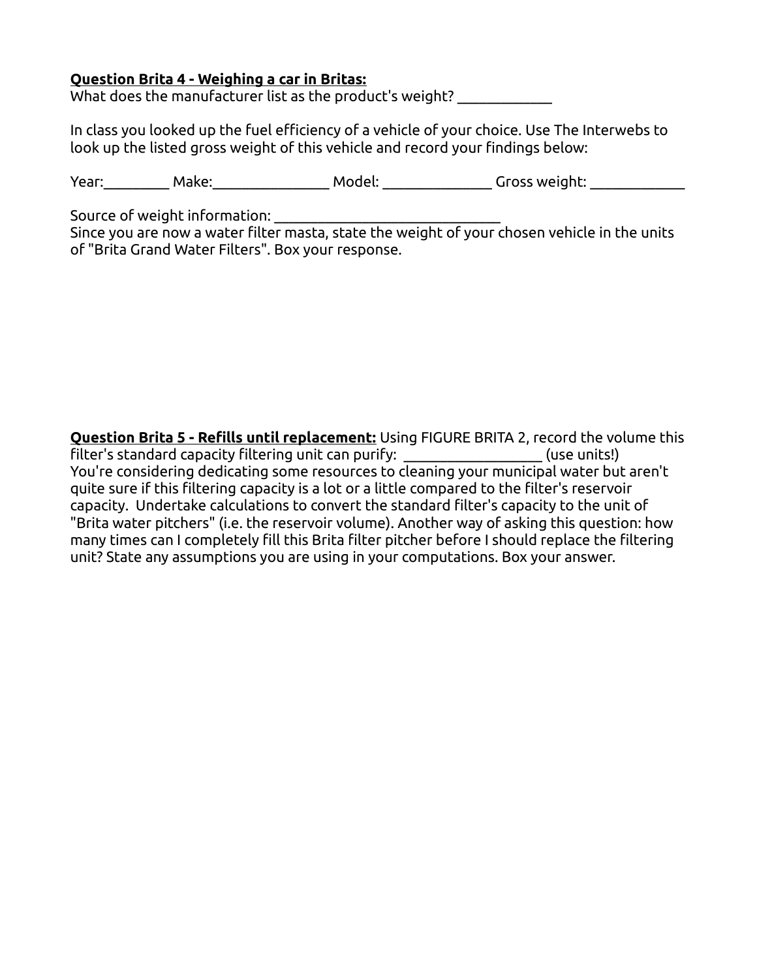## **Question Brita 4 - Weighing a car in Britas:**

What does the manufacturer list as the product's weight? \_\_\_\_\_\_\_\_\_\_\_\_\_

In class you looked up the fuel efficiency of a vehicle of your choice. Use The Interwebs to look up the listed gross weight of this vehicle and record your findings below:

Year:\_\_\_\_\_\_\_\_\_\_ Make:\_\_\_\_\_\_\_\_\_\_\_\_\_\_\_\_\_\_ Model: \_\_\_\_\_\_\_\_\_\_\_\_\_\_\_\_ Gross weight: \_\_\_\_\_\_\_\_\_\_\_\_\_\_\_

Source of weight information:

Since you are now a water filter masta, state the weight of your chosen vehicle in the units of "Brita Grand Water Filters". Box your response.

**Question Brita 5 - Refills until replacement:** Using FIGURE BRITA 2, record the volume this filter's standard capacity filtering unit can purify: \_\_\_\_\_\_\_\_\_\_\_\_\_\_\_\_\_\_\_ (use units!) You're considering dedicating some resources to cleaning your municipal water but aren't quite sure if this filtering capacity is a lot or a little compared to the filter's reservoir capacity. Undertake calculations to convert the standard filter's capacity to the unit of "Brita water pitchers" (i.e. the reservoir volume). Another way of asking this question: how many times can I completely fill this Brita filter pitcher before I should replace the filtering unit? State any assumptions you are using in your computations. Box your answer.